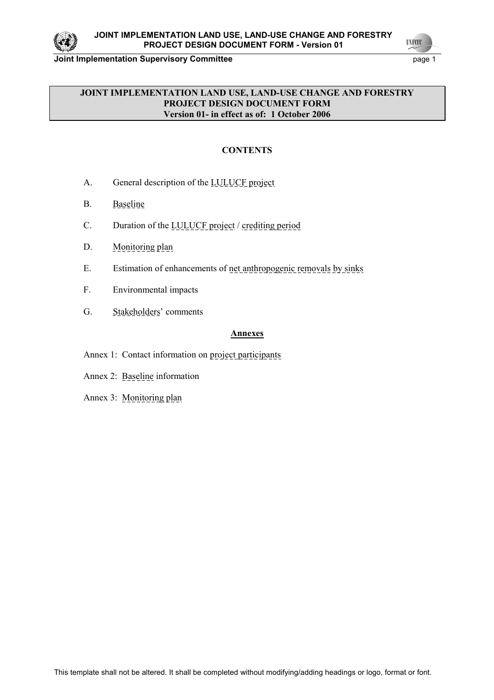

#### **Joint Implementation Supervisory Committee** page 1

**UNFOCO** 

### **JOINT IMPLEMENTATION LAND USE, LAND-USE CHANGE AND FORESTRY PROJECT DESIGN DOCUMENT FORM Version 01- in effect as of: 1 October 2006**

### **CONTENTS**

- A. General description of the **LULUCF** project
- B. Baseline
- C. Duration of the **LULUCF** project / crediting period
- D. Monitoring plan
- E. Estimation of enhancements of net anthropogenic removals by sinks
- F. Environmental impacts
- G. Stakeholders' comments

#### **Annexes**

- Annex 1: Contact information on project participants
- Annex 2: Baseline information
- Annex 3: Monitoring plan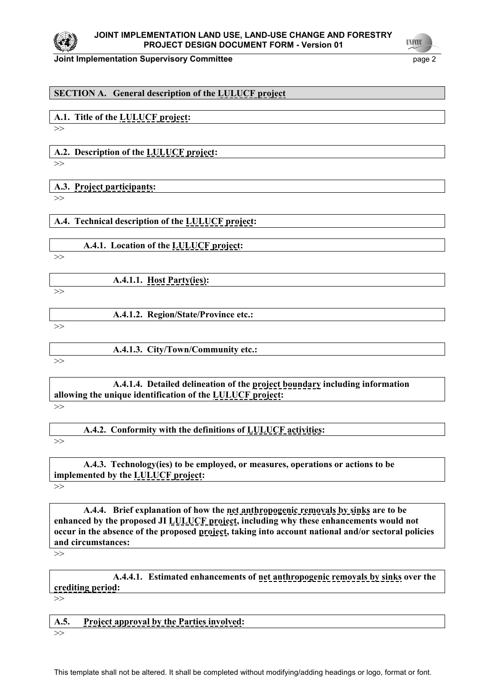

#### **Joint Implementation Supervisory Committee** page 2



### **SECTION A. General description of the LULUCF project**

**A.1. Title of the LULUCF project:**

**A.2. Description of the LULUCF project:**

>>

>>

**A.3. Project participants:**  >>

**A.4. Technical description of the LULUCF project:** 

 **A.4.1. Location of the LULUCF project:** 

>>

 **A.4.1.1. Host Party(ies):**

>>

 **A.4.1.2. Region/State/Province etc.:**

>>

 **A.4.1.3. City/Town/Community etc.:** 

>>

# **A.4.1.4. Detailed delineation of the project boundary including information allowing the unique identification of the LULUCF project:**

 $\rightarrow$ 

 **A.4.2. Conformity with the definitions of LULUCF activities:**

>>

 **A.4.3. Technology(ies) to be employed, or measures, operations or actions to be implemented by the LULUCF project:**

>>

 **A.4.4. Brief explanation of how the net anthropogenic removals by sinks are to be**  enhanced by the proposed JI **LULUCF** project, including why these enhancements would not **occur in the absence of the proposed project, taking into account national and/or sectoral policies and circumstances:**

>>

 **A.4.4.1. Estimated enhancements of net anthropogenic removals by sinks over the crediting period:** >>

**A.5. Project approval by the Parties involved:** 

>>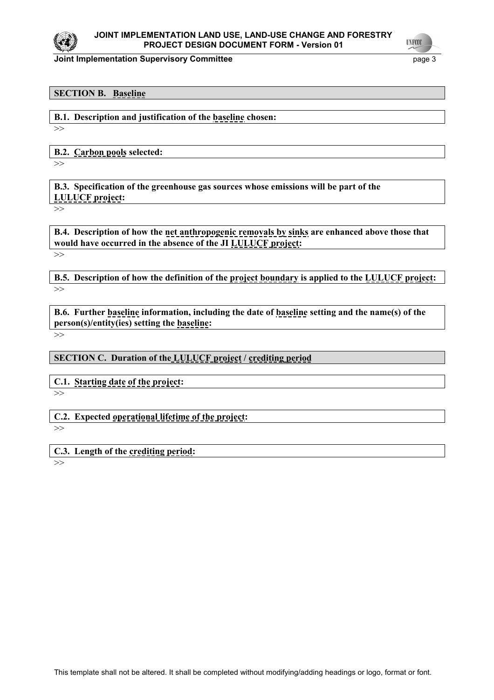

**Joint Implementation Supervisory Committee** <br>
page 3



#### **SECTION B. Baseline**

**B.1. Description and justification of the baseline chosen:** 

>>

**B.2. Carbon pools selected:** 

>>

**B.3. Specification of the greenhouse gas sources whose emissions will be part of the LULUCF project:**

 $\rightarrow$ 

**B.4. Description of how the net anthropogenic removals by sinks are enhanced above those that would have occurred in the absence of the JI LULUCF project:**

>>

**B.5. Description of how the definition of the project boundary is applied to the LULUCF project:** >>

**B.6. Further baseline information, including the date of baseline setting and the name(s) of the person(s)/entity(ies) setting the baseline:** 

>>

**SECTION C. Duration of the LULUCF project / crediting period**

**C.1. Starting date of the project:** 

>>

**C.2. Expected operational lifetime of the project:** 

>>

**C.3. Length of the crediting period:**

>>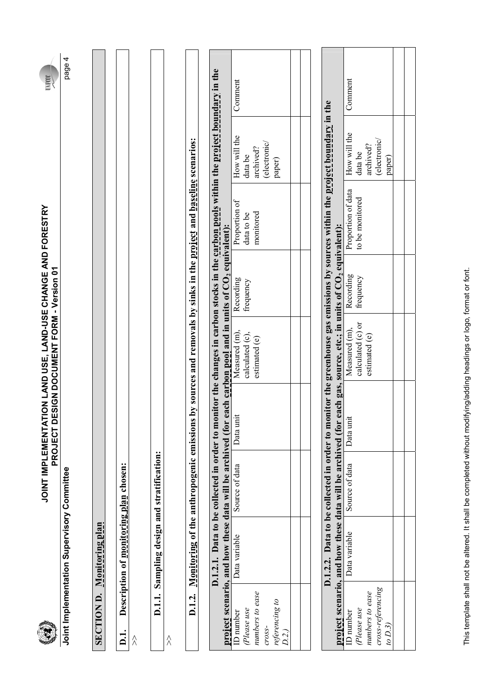|                                            |                                            |                                                            | JOINT IMPLEMENTATION LAND USE, LAND-USE CHANGE AND FORESTRY<br>PROJECT DESIGN DOCUMENT FORM - Version 01                 |                                                        |                        |                                                                                                                                       |                                      | <b>IMPACE</b> |
|--------------------------------------------|--------------------------------------------|------------------------------------------------------------|--------------------------------------------------------------------------------------------------------------------------|--------------------------------------------------------|------------------------|---------------------------------------------------------------------------------------------------------------------------------------|--------------------------------------|---------------|
|                                            | Joint Implementation Supervisory Committee |                                                            |                                                                                                                          |                                                        |                        |                                                                                                                                       |                                      | page 4        |
| SECTION D.                                 | <u>Monitoring plan</u>                     |                                                            |                                                                                                                          |                                                        |                        |                                                                                                                                       |                                      |               |
| $\overline{a}$                             | Description of monitoring plan chosen:     |                                                            |                                                                                                                          |                                                        |                        |                                                                                                                                       |                                      |               |
| $\hat{\wedge}$                             |                                            |                                                            |                                                                                                                          |                                                        |                        |                                                                                                                                       |                                      |               |
|                                            |                                            | D.1.1. Sampling design and stratification:                 |                                                                                                                          |                                                        |                        |                                                                                                                                       |                                      |               |
| ☆                                          |                                            |                                                            |                                                                                                                          |                                                        |                        |                                                                                                                                       |                                      |               |
| D.1.2.                                     |                                            | Monitoring of the anthropogenic emissions                  |                                                                                                                          |                                                        |                        | by sources and removals by sinks in the project and baseline scenarios:                                                               |                                      |               |
|                                            |                                            |                                                            | project scenario, and how these data will be archived (for each carbon pool and in units of CO <sub>2</sub> equivalent): |                                                        |                        | D.1.2.1. Data to be collected in order to monitor the changes in carbon stocks in the carbon pools within the project boundary in the |                                      |               |
|                                            |                                            |                                                            |                                                                                                                          |                                                        |                        |                                                                                                                                       |                                      |               |
| ID number                                  | Data variable                              | Source of data                                             | Data unit                                                                                                                | Measured (m),                                          | Recording              | Proportion of                                                                                                                         | How will the                         | Comment       |
| numbers to ease<br>Please use              |                                            |                                                            |                                                                                                                          | calculated (c),<br>estimated (e)                       | frequency              | monitored<br>data to be                                                                                                               | archived?<br>data be                 |               |
| $CrosS-$                                   |                                            |                                                            |                                                                                                                          |                                                        |                        |                                                                                                                                       | (electronic/                         |               |
| referencing to<br>D.2.)                    |                                            |                                                            |                                                                                                                          |                                                        |                        |                                                                                                                                       | paper)                               |               |
|                                            |                                            |                                                            |                                                                                                                          |                                                        |                        |                                                                                                                                       |                                      |               |
|                                            |                                            |                                                            |                                                                                                                          |                                                        |                        |                                                                                                                                       |                                      |               |
|                                            |                                            |                                                            |                                                                                                                          |                                                        |                        | D.1.2.2. Data to be collected in order to monitor the greenhouse gas emissions by sources within the project boundary in the          |                                      |               |
|                                            |                                            | project scenario, and how these data will be archived (for |                                                                                                                          | each gas, source, etc.; in units of $CO2$ equivalent): |                        |                                                                                                                                       |                                      |               |
| numbers to ease<br>Please use<br>ID number | Data variable                              | Source of data                                             | Data uni                                                                                                                 | calculated (c) or<br>Measured (m),<br>estimated (e)    | Recording<br>frequency | Proportion of data<br>to be monitored                                                                                                 | How will the<br>archived?<br>data be | Comment       |
| cross-referencing<br>to D.3)               |                                            |                                                            |                                                                                                                          |                                                        |                        |                                                                                                                                       | (electronic/<br>paper)               |               |
|                                            |                                            |                                                            |                                                                                                                          |                                                        |                        |                                                                                                                                       |                                      |               |
|                                            |                                            |                                                            |                                                                                                                          |                                                        |                        |                                                                                                                                       |                                      |               |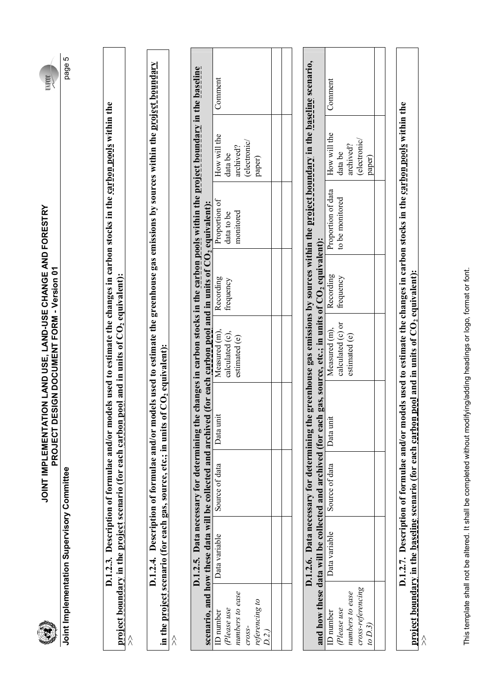|                                                                     |                                            | <b>JOINT IMPLEMENTATI</b>                                                                                  | PROJECT DESIGN DOCUMENT FORM - Version 01 | ON LAND USE, LAND-USE CHANGE AND FORESTRY                          |           |                                                                                                                                   |                                               | <b>ARKIT</b> |
|---------------------------------------------------------------------|--------------------------------------------|------------------------------------------------------------------------------------------------------------|-------------------------------------------|--------------------------------------------------------------------|-----------|-----------------------------------------------------------------------------------------------------------------------------------|-----------------------------------------------|--------------|
|                                                                     | Joint Implementation Supervisory Committee |                                                                                                            |                                           |                                                                    |           |                                                                                                                                   |                                               | page 5       |
|                                                                     |                                            | project boundary in the project scenario (for each carbon)                                                 |                                           | <b><u>oool</u></b> and in units of CO <sub>2</sub> equivalent):    |           | D.1.2.3. Description of formulae and/or models used to estimate the changes in carbon stocks in the carbon pools within the       |                                               |              |
| $\hat{\lambda}$                                                     |                                            |                                                                                                            |                                           |                                                                    |           |                                                                                                                                   |                                               |              |
|                                                                     | D.1.2.4.                                   | in the project scenario (for each gas, source, etc.; in units of $CO2$ equivalent):                        |                                           |                                                                    |           | Description of formulae and/or models used to estimate the greenhouse gas emissions by sources within the <u>project boundary</u> |                                               |              |
| $\hat{\wedge}$                                                      |                                            |                                                                                                            |                                           |                                                                    |           |                                                                                                                                   |                                               |              |
|                                                                     |                                            | D.1.2.5. Data necessary for determining the<br>scenario, and how these data will be collected and archived |                                           | (for each carbon pool and in units of CO <sub>2</sub> equivalent): |           | changes in carbon stocks in the carbon pools within the project boundary in the baseline                                          |                                               |              |
| ID number                                                           | Data variable                              | Source of data                                                                                             | Data unit                                 | Measured (m),                                                      | Recording | Proportion of                                                                                                                     | How will the                                  | Comment      |
| numbers to ease<br>referencing to<br>Please use<br>$CTOSS$ -<br>D.2 |                                            |                                                                                                            |                                           | calculated (c),<br>estimated (e)                                   | frequency | monitored<br>data to be                                                                                                           | electronic/<br>archived?<br>data be<br>paper) |              |
|                                                                     |                                            |                                                                                                            |                                           |                                                                    |           |                                                                                                                                   |                                               |              |
|                                                                     |                                            |                                                                                                            |                                           |                                                                    |           |                                                                                                                                   |                                               |              |
|                                                                     |                                            | D.1.2.6. Data necessary for determining the<br>and how these data will be collected and archived (for each |                                           | gas, source, etc.; in units of CO <sub>2</sub> equivalent):        |           | greenhouse gas emissions by sources within the project boundary in the baseline scenario,                                         |                                               |              |
| ID number                                                           | Data variable                              | Source of data                                                                                             | Data unit                                 | Measured (m),                                                      | Recording | Proportion of data                                                                                                                | How will the                                  | Comment      |
| cross-referencing<br>numbers to ease<br>Please use<br>to D.3        |                                            |                                                                                                            |                                           | calculated (c) or<br>estimated (e)                                 | frequency | to be monitored                                                                                                                   | electronic/<br>archived?<br>data be<br>paper) |              |
|                                                                     |                                            |                                                                                                            |                                           |                                                                    |           |                                                                                                                                   |                                               |              |
|                                                                     |                                            |                                                                                                            |                                           |                                                                    |           | D.1.2.7. Description of formulae and/or models used to estimate the changes in carbon stocks in the carbon pools within the       |                                               |              |
|                                                                     |                                            | project boundary in the baseline scenario (for each carbon                                                 |                                           | pool and in units of CO <sub>2</sub> equivalent):                  |           |                                                                                                                                   |                                               |              |

 $\hat{\wedge}$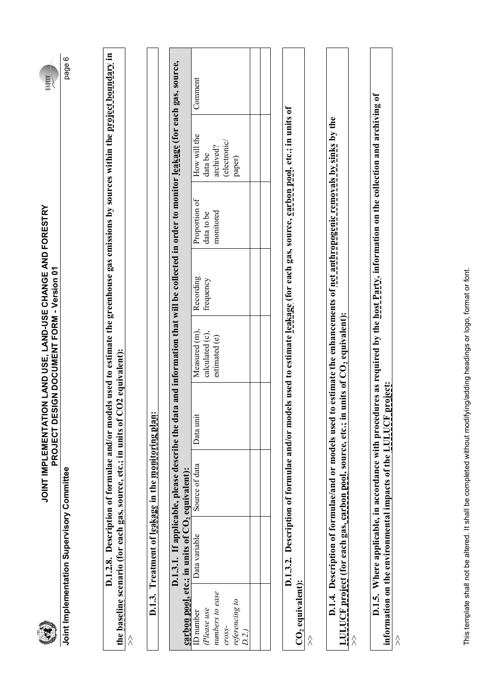|                                                                                   |                                                                                                                                                                                                                                         |                |                   | JOINT IMPLEMENTATION LAND USE, LAND-USE CHANGE AND FORESTRY<br>PROJECT DESIGN DOCUMENT FORM - Version 01 |                        |                                          |                                                                | <b>ROWN</b> |
|-----------------------------------------------------------------------------------|-----------------------------------------------------------------------------------------------------------------------------------------------------------------------------------------------------------------------------------------|----------------|-------------------|----------------------------------------------------------------------------------------------------------|------------------------|------------------------------------------|----------------------------------------------------------------|-------------|
|                                                                                   | Joint Implementation Supervisory Committee                                                                                                                                                                                              |                |                   |                                                                                                          |                        |                                          |                                                                | page 6      |
|                                                                                   | D.1.2.8. Description of formulae and/or models used to estimate the greenhouse gas emissions by sources within the <u>proiect boundary</u> in<br>the <b>baseline</b> scenario (for each gas, source, etc.; in units of CO2 equivalent): |                |                   |                                                                                                          |                        |                                          |                                                                |             |
| $\hat{\wedge}$                                                                    |                                                                                                                                                                                                                                         |                |                   |                                                                                                          |                        |                                          |                                                                |             |
|                                                                                   | D.1.3. Treatment of leakage in the monitoring plan:                                                                                                                                                                                     |                |                   |                                                                                                          |                        |                                          |                                                                |             |
|                                                                                   | D.1.3.1. If applicable, please describe the data and information that will be collected in order to monitor leakage (for each gas, source,<br>carbon pool, etc.; in units of CO <sub>2</sub> equivalent):                               |                |                   |                                                                                                          |                        |                                          |                                                                |             |
| numbers to ease<br>referencing to<br>Please use<br>ID number<br>$CTOSS$ -<br>D.2. | Data variable                                                                                                                                                                                                                           | Source of data | Data unit         | Measured (m),<br>calculated (c),<br>estimated (e)                                                        | Recording<br>frequency | Proportion of<br>monitored<br>data to be | How will the<br>(electronic/<br>archived?<br>data be<br>paper) | Comment     |
|                                                                                   |                                                                                                                                                                                                                                         |                |                   |                                                                                                          |                        |                                          |                                                                |             |
| $CO2$ equivalent):                                                                | D.1.3.2. Description of formulae and/or models used to estimate <u>leakage</u> (for each gas, source, carbon pool, etc.; in units of                                                                                                    |                |                   |                                                                                                          |                        |                                          |                                                                |             |
| Ά                                                                                 | D.1.4. Description of formulae/and or models used to estimate the enhancements of n <u>et anthropogenic removals by sinks</u> by the<br><u>LULUCE project</u> (for each gas <u>, carbon pool,</u> source, etc.;                         |                |                   | in units of $\mathrm{CO}_2$ equivalent):                                                                 |                        |                                          |                                                                |             |
|                                                                                   | D.1.5. Where applicable, in accordance with procedures as required by the host Party, information on the collection and archiving of<br>information on the environmental impacts of the LULUCI                                          |                | <u>F project:</u> |                                                                                                          |                        |                                          |                                                                |             |
|                                                                                   |                                                                                                                                                                                                                                         |                |                   |                                                                                                          |                        |                                          |                                                                |             |

This template shall not be altered. It shall be completed without modifying/adding headings or logo, format or font. This template shall not be altered. It shall be completed without modifying/adding headings or logo, format or font.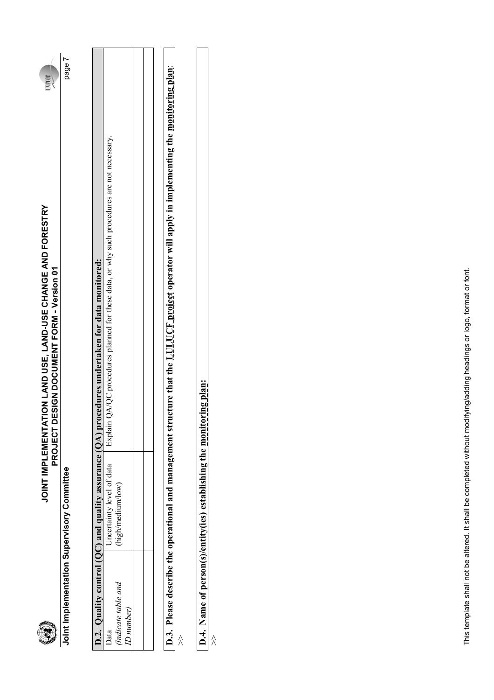

**Joint Implementation Supervisory Committee** page 7 Joint Implementation Supervisory Committee

page 7

 $\Box$ 

 $\overline{\phantom{a}}$ 

| procedures undertaken for data monitored:              | Explain QA/QC procedures planned for these data, or why such procedures are not necessary. |                     |          |  |
|--------------------------------------------------------|--------------------------------------------------------------------------------------------|---------------------|----------|--|
| 0.2. Quality control (QC) and quality assurance $(QA)$ | ncertainty level of data                                                                   | $n$ is h/medium/low |          |  |
|                                                        |                                                                                            | ndicate table and   | D number |  |

D.3. Please describe the operational and management structure that the LULUCF project operator will apply in implementing the monitoring plan: **D.3. Please describe the operational and management structure that the LULUCF project operator will apply in implementing the monitoring plan**:  $\hat{\wedge}$ 

**D.4. Name of person(s)/entity(ies) establishing the monitoring plan:**  D.4. Name of person(s)/entity(ies) establishing the monitoring plan: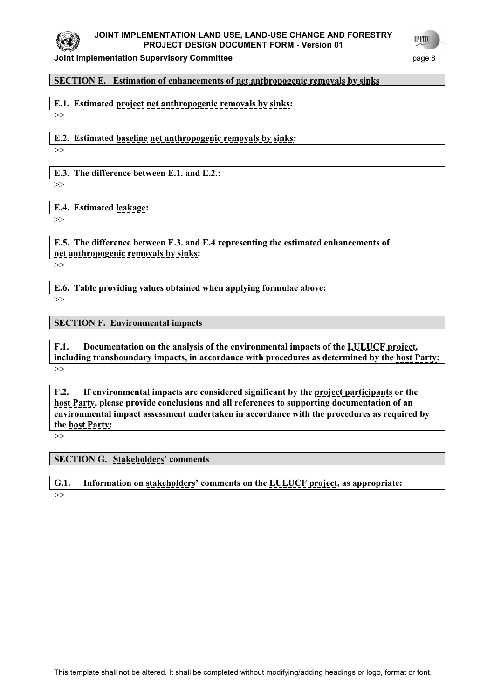

#### **JOINT IMPLEMENTATION LAND USE, LAND-USE CHANGE AND FORESTRY PROJECT DESIGN DOCUMENT FORM - Version 01**

**Joint Implementation Supervisory Committee** page 8

**UNFCCC** 

### **SECTION E. Estimation of enhancements of net anthropogenic removals by sinks**

**E.1. Estimated project net anthropogenic removals by sinks:** 

>>

**E.2. Estimated baseline net anthropogenic removals by sinks:** >>

**E.3. The difference between E.1. and E.2.:**

>>

**E.4. Estimated leakage:** 

>>

**E.5. The difference between E.3. and E.4 representing the estimated enhancements of net anthropogenic removals by sinks:** 

>>

**E.6. Table providing values obtained when applying formulae above:**  >>

**SECTION F. Environmental impacts** 

**F.1. Documentation on the analysis of the environmental impacts of the LULUCF project, including transboundary impacts, in accordance with procedures as determined by the host Party:**  >>

**F.2. If environmental impacts are considered significant by the project participants or the host Party, please provide conclusions and all references to supporting documentation of an environmental impact assessment undertaken in accordance with the procedures as required by the host Party:** 

>>

**SECTION G. Stakeholders' comments** 

**G.1. Information on stakeholders' comments on the LULUCF project, as appropriate:** 

>>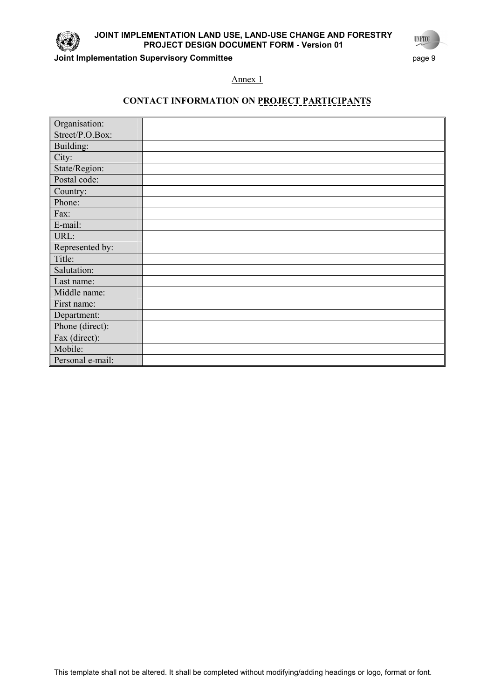

**Joint Implementation Supervisory Committee** *page 9* **page 9** 

**UNFCCC** 

Annex 1

## **CONTACT INFORMATION ON PROJECT PARTICIPANTS**

| Organisation:    |  |
|------------------|--|
| Street/P.O.Box:  |  |
| Building:        |  |
| City:            |  |
| State/Region:    |  |
| Postal code:     |  |
| Country:         |  |
| Phone:           |  |
| Fax:             |  |
| E-mail:          |  |
| URL:             |  |
| Represented by:  |  |
| Title:           |  |
| Salutation:      |  |
| Last name:       |  |
| Middle name:     |  |
| First name:      |  |
| Department:      |  |
| Phone (direct):  |  |
| Fax (direct):    |  |
| Mobile:          |  |
| Personal e-mail: |  |